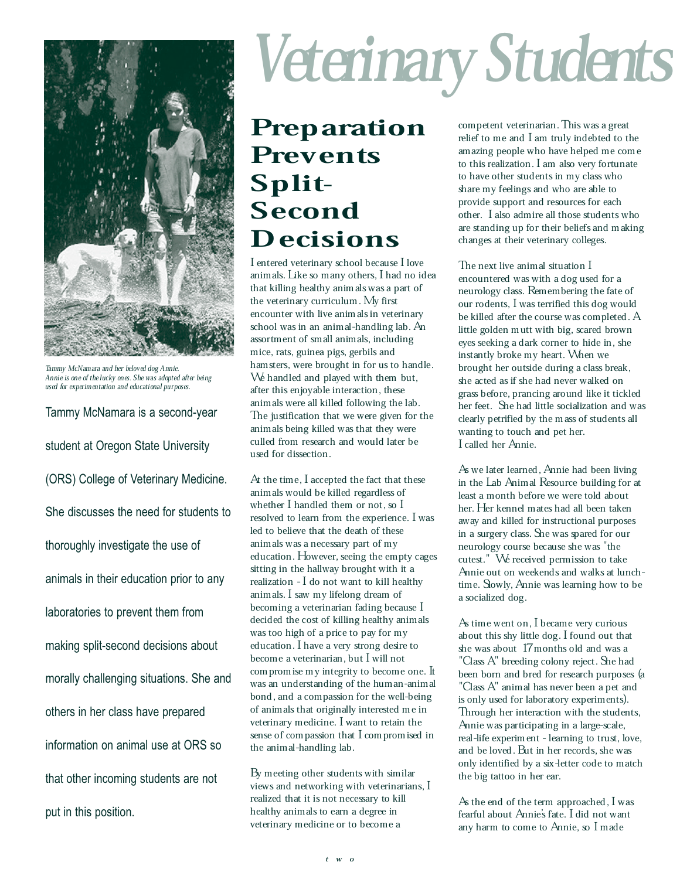

Tammy McNamara and her beloved dog Annie. Annie is one of the lucky ones. She was adopted after being used for experimentation and educational purposes.

Tammy McNamara is a second-year student at Oregon State University (ORS) College of Veterinary Medicine. She discusses the need for students to thoroughly investigate the use of animals in their education prior to any laboratories to prevent them from making split-second decisions about morally challenging situations. She and others in her class have prepared information on animal use at ORS so that other incoming students are not put in this position.

## Veterinary Students

## Preparation Prevents Split-Second **Decisions**

I entered veterinary school because I love animals. Like so many others, I had no idea that killing healthy animals was a part of the veterinary curriculum. My first encounter with live animals in veterinary school was in an animal-handling lab. An assortment of small animals, including mice, rats, guinea pigs, gerbils and hamsters, were brought in for us to handle. We handled and played with them but, after this enjoyable interaction, these animals were all killed following the lab. The justification that we were given for the animals being killed was that they were culled from research and would later be used for dissection.

At the time, I accepted the fact that these animals would be killed regardless of whether I handled them or not, so I resolved to learn from the experience. I was led to believe that the death of these animals was a necessary part of my education. However, seeing the empty cages sitting in the hallway brought with it a realization - I do not want to kill healthy animals. I saw my lifelong dream of becoming a veterinarian fading because I decided the cost of killing healthy animals was too high of a price to pay for my education. I have a very strong desire to become a veterinarian, but I will not compromise my integrity to become one. It was an understanding of the human-animal bond, and a compassion for the well-being of animals that originally interested me in veterinary medicine. I want to retain the sense of compassion that I compromised in the animal-handling lab.

By meeting other students with similar views and networking with veterinarians, I realized that it is not necessary to kill healthy animals to earn a degree in veterinary medicine or to become a

competent veterinarian. This was a great relief to me and I am truly indebted to the amazing people who have helped me come to this realization. I am also very fortunate to have other students in my class who share my feelings and who are able to provide support and resources for each other. I also admire all those students who are standing up for their beliefs and making changes at their veterinary colleges.

The next live animal situation I encountered was with a dog used for a neurology class. Remembering the fate of our rodents, I was terrified this dog would be killed after the course was completed. A little golden mutt with big, scared brown eyes seeking a dark corner to hide in, she instantly broke my heart. When we brought her outside during a class break, she acted as if she had never walked on grass before, prancing around like it tickled her feet. She had little socialization and was clearly petrified by the mass of students all wanting to touch and pet her. I called her Annie.

As we later learned, Annie had been living in the Lab Animal Resource building for at least a month before we were told about her. Her kennel mates had all been taken away and killed for instructional purposes in a surgery class. She was spared for our neurology course because she was "the cutest." We received permission to take Annie out on weekends and walks at lunchtime. Slowly, Annie was learning how to be a socialized dog.

As time went on, I became very curious about this shy little dog. I found out that she was about 17 months old and was a "Class A" breeding colony reject. She had been born and bred for research purposes (a "Class A" animal has never been a pet and is only used for laboratory experiments). Through her interaction with the students, Annie was participating in a large-scale, real-life experiment - learning to trust, love, and be loved. But in her records, she was only identified by a six-letter code to match the big tattoo in her ear.

As the end of the term approached, I was fearful about Annie's fate. I did not want any harm to come to Annie, so I made